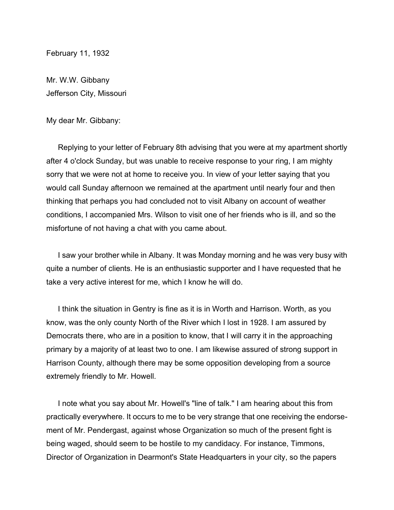February 11, 1932

Mr. W.W. Gibbany Jefferson City, Missouri

My dear Mr. Gibbany:

Replying to your letter of February 8th advising that you were at my apartment shortly after 4 o'clock Sunday, but was unable to receive response to your ring, I am mighty sorry that we were not at home to receive you. In view of your letter saying that you would call Sunday afternoon we remained at the apartment until nearly four and then thinking that perhaps you had concluded not to visit Albany on account of weather conditions, I accompanied Mrs. Wilson to visit one of her friends who is ill, and so the misfortune of not having a chat with you came about.

I saw your brother while in Albany. It was Monday morning and he was very busy with quite a number of clients. He is an enthusiastic supporter and I have requested that he take a very active interest for me, which I know he will do.

I think the situation in Gentry is fine as it is in Worth and Harrison. Worth, as you know, was the only county North of the River which I lost in 1928. I am assured by Democrats there, who are in a position to know, that I will carry it in the approaching primary by a majority of at least two to one. I am likewise assured of strong support in Harrison County, although there may be some opposition developing from a source extremely friendly to Mr. Howell.

I note what you say about Mr. Howell's "line of talk." I am hearing about this from practically everywhere. It occurs to me to be very strange that one receiving the endorsement of Mr. Pendergast, against whose Organization so much of the present fight is being waged, should seem to be hostile to my candidacy. For instance, Timmons, Director of Organization in Dearmont's State Headquarters in your city, so the papers